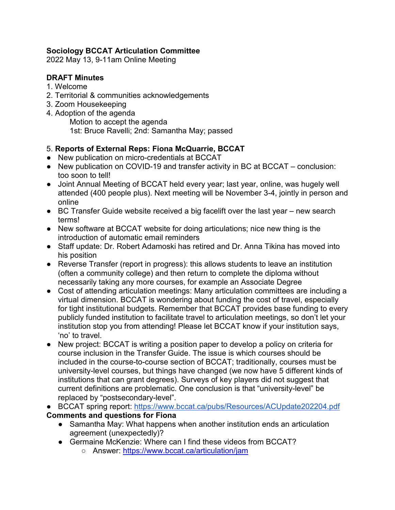# **Sociology BCCAT Articulation Committee**

2022 May 13, 9-11am Online Meeting

# **DRAFT Minutes**

- 1. Welcome
- 2. Territorial & communities acknowledgements
- 3. Zoom Housekeeping
- 4. Adoption of the agenda Motion to accept the agenda 1st: Bruce Ravelli; 2nd: Samantha May; passed

# 5. **Reports of External Reps: Fiona McQuarrie, BCCAT**

- New publication on micro-credentials at BCCAT
- New publication on COVID-19 and transfer activity in BC at BCCAT conclusion: too soon to tell!
- Joint Annual Meeting of BCCAT held every year; last year, online, was hugely well attended (400 people plus). Next meeting will be November 3-4, jointly in person and online
- BC Transfer Guide website received a big facelift over the last year new search terms!
- New software at BCCAT website for doing articulations; nice new thing is the introduction of automatic email reminders
- Staff update: Dr. Robert Adamoski has retired and Dr. Anna Tikina has moved into his position
- Reverse Transfer (report in progress): this allows students to leave an institution (often a community college) and then return to complete the diploma without necessarily taking any more courses, for example an Associate Degree
- Cost of attending articulation meetings: Many articulation committees are including a virtual dimension. BCCAT is wondering about funding the cost of travel, especially for tight institutional budgets. Remember that BCCAT provides base funding to every publicly funded institution to facilitate travel to articulation meetings, so don't let your institution stop you from attending! Please let BCCAT know if your institution says, 'no' to travel.
- New project: BCCAT is writing a position paper to develop a policy on criteria for course inclusion in the Transfer Guide. The issue is which courses should be included in the course-to-course section of BCCAT; traditionally, courses must be university-level courses, but things have changed (we now have 5 different kinds of institutions that can grant degrees). Surveys of key players did not suggest that current definitions are problematic. One conclusion is that "university-level" be replaced by "postsecondary-level".
- BCCAT spring report:<https://www.bccat.ca/pubs/Resources/ACUpdate202204.pdf> **Comments and questions for Fiona**
	- Samantha May: What happens when another institution ends an articulation agreement (unexpectedly)?
	- Germaine McKenzie: Where can I find these videos from BCCAT?
		- Answer:<https://www.bccat.ca/articulation/jam>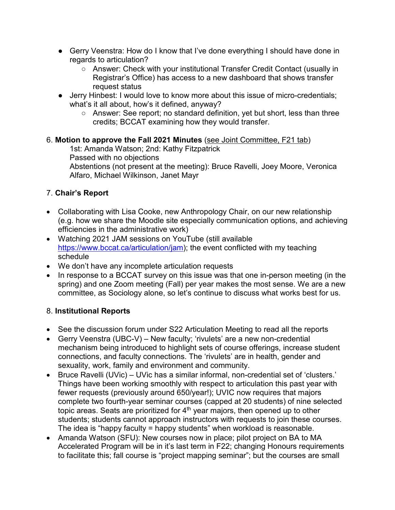- Gerry Veenstra: How do I know that I've done everything I should have done in regards to articulation?
	- Answer: Check with your institutional Transfer Credit Contact (usually in Registrar's Office) has access to a new dashboard that shows transfer request status
- Jerry Hinbest: I would love to know more about this issue of micro-credentials; what's it all about, how's it defined, anyway?
	- Answer: See report; no standard definition, yet but short, less than three credits; BCCAT examining how they would transfer.

# 6. **Motion to approve the Fall 2021 Minutes** [\(see Joint Committee, F21 tab\)](https://moodle.bccat.ca/course/view.php?id=41§ion=9)

1st: Amanda Watson; 2nd: Kathy Fitzpatrick Passed with no objections Abstentions (not present at the meeting): Bruce Ravelli, Joey Moore, Veronica Alfaro, Michael Wilkinson, Janet Mayr

# 7. **Chair's Report**

- Collaborating with Lisa Cooke, new Anthropology Chair, on our new relationship (e.g. how we share the Moodle site especially communication options, and achieving efficiencies in the administrative work)
- Watching 2021 JAM sessions on YouTube (still available [https://www.bccat.ca/articulation/jam\)](https://www.bccat.ca/articulation/jam); the event conflicted with my teaching schedule
- We don't have any incomplete articulation requests
- In response to a BCCAT survey on this issue was that one in-person meeting (in the spring) and one Zoom meeting (Fall) per year makes the most sense. We are a new committee, as Sociology alone, so let's continue to discuss what works best for us.

# 8. **Institutional Reports**

- See the discussion forum under S22 Articulation Meeting to read all the reports
- Gerry Veenstra (UBC-V) New faculty; 'rivulets' are a new non-credential mechanism being introduced to highlight sets of course offerings, increase student connections, and faculty connections. The 'rivulets' are in health, gender and sexuality, work, family and environment and community.
- Bruce Ravelli (UVic) UVic has a similar informal, non-credential set of 'clusters.' Things have been working smoothly with respect to articulation this past year with fewer requests (previously around 650/year!); UVIC now requires that majors complete two fourth-year seminar courses (capped at 20 students) of nine selected topic areas. Seats are prioritized for  $4<sup>th</sup>$  year majors, then opened up to other students; students cannot approach instructors with requests to join these courses. The idea is "happy faculty = happy students" when workload is reasonable.
- Amanda Watson (SFU): New courses now in place; pilot project on BA to MA Accelerated Program will be in it's last term in F22; changing Honours requirements to facilitate this; fall course is "project mapping seminar"; but the courses are small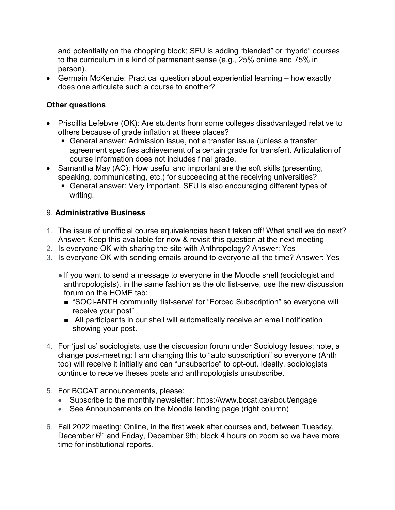and potentially on the chopping block; SFU is adding "blended" or "hybrid" courses to the curriculum in a kind of permanent sense (e.g., 25% online and 75% in person).

• Germain McKenzie: Practical question about experiential learning – how exactly does one articulate such a course to another?

# **Other questions**

- Priscillia Lefebvre (OK): Are students from some colleges disadvantaged relative to others because of grade inflation at these places?
	- General answer: Admission issue, not a transfer issue (unless a transfer agreement specifies achievement of a certain grade for transfer). Articulation of course information does not includes final grade.
- Samantha May (AC): How useful and important are the soft skills (presenting, speaking, communicating, etc.) for succeeding at the receiving universities?
	- General answer: Very important. SFU is also encouraging different types of writing.

# 9. **Administrative Business**

- 1. The issue of unofficial course equivalencies hasn't taken off! What shall we do next? Answer: Keep this available for now & revisit this question at the next meeting
- 2. Is everyone OK with sharing the site with Anthropology? Answer: Yes
- 3. Is everyone OK with sending emails around to everyone all the time? Answer: Yes
	- If you want to send a message to everyone in the Moodle shell (sociologist and anthropologists), in the same fashion as the old list-serve, use the new discussion forum on the HOME tab:
		- "SOCI-ANTH community 'list-serve' for "Forced Subscription" so everyone will receive your post"
		- All participants in our shell will automatically receive an email notification showing your post.
- 4. For 'just us' sociologists, use the discussion forum under Sociology Issues; note, a change post-meeting: I am changing this to "auto subscription" so everyone (Anth too) will receive it initially and can "unsubscribe" to opt-out. Ideally, sociologists continue to receive theses posts and anthropologists unsubscribe.
- 5. For BCCAT announcements, please:
	- Subscribe to the monthly newsletter: https://www.bccat.ca/about/engage
	- See Announcements on the Moodle landing page (right column)
- 6. Fall 2022 meeting: Online, in the first week after courses end, between Tuesday, December 6<sup>th</sup> and Friday, December 9th; block 4 hours on zoom so we have more time for institutional reports.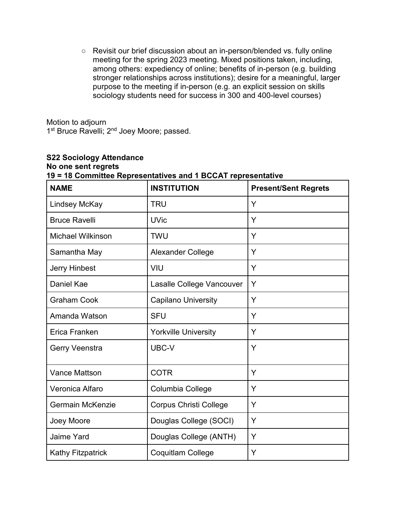○ Revisit our brief discussion about an in-person/blended vs. fully online meeting for the spring 2023 meeting. Mixed positions taken, including, among others: expediency of online; benefits of in-person (e.g. building stronger relationships across institutions); desire for a meaningful, larger purpose to the meeting if in-person (e.g. an explicit session on skills sociology students need for success in 300 and 400-level courses)

Motion to adjourn 1<sup>st</sup> Bruce Ravelli; 2<sup>nd</sup> Joey Moore; passed.

| <b>S22 Sociology Attendance</b>                              |  |
|--------------------------------------------------------------|--|
| No one sent regrets                                          |  |
| 19 = 18 Committee Representatives and 1 BCCAT representative |  |

| <b>NAME</b>              | <b>INSTITUTION</b>            | <b>Present/Sent Regrets</b> |
|--------------------------|-------------------------------|-----------------------------|
| <b>Lindsey McKay</b>     | <b>TRU</b>                    | Y                           |
| <b>Bruce Ravelli</b>     | <b>UVic</b>                   | Y                           |
| <b>Michael Wilkinson</b> | <b>TWU</b>                    | Y                           |
| Samantha May             | <b>Alexander College</b>      | Y                           |
| <b>Jerry Hinbest</b>     | VIU                           | Y                           |
| <b>Daniel Kae</b>        | Lasalle College Vancouver     | Y                           |
| <b>Graham Cook</b>       | <b>Capilano University</b>    | Y                           |
| Amanda Watson            | <b>SFU</b>                    | Y                           |
| Erica Franken            | <b>Yorkville University</b>   | Y                           |
| Gerry Veenstra           | UBC-V                         | Y                           |
| <b>Vance Mattson</b>     | <b>COTR</b>                   | Y                           |
| Veronica Alfaro          | Columbia College              | Y                           |
| <b>Germain McKenzie</b>  | <b>Corpus Christi College</b> | Y                           |
| Joey Moore               | Douglas College (SOCI)        | Y                           |
| <b>Jaime Yard</b>        | Douglas College (ANTH)        | Y                           |
| <b>Kathy Fitzpatrick</b> | Coquitlam College             | Υ                           |